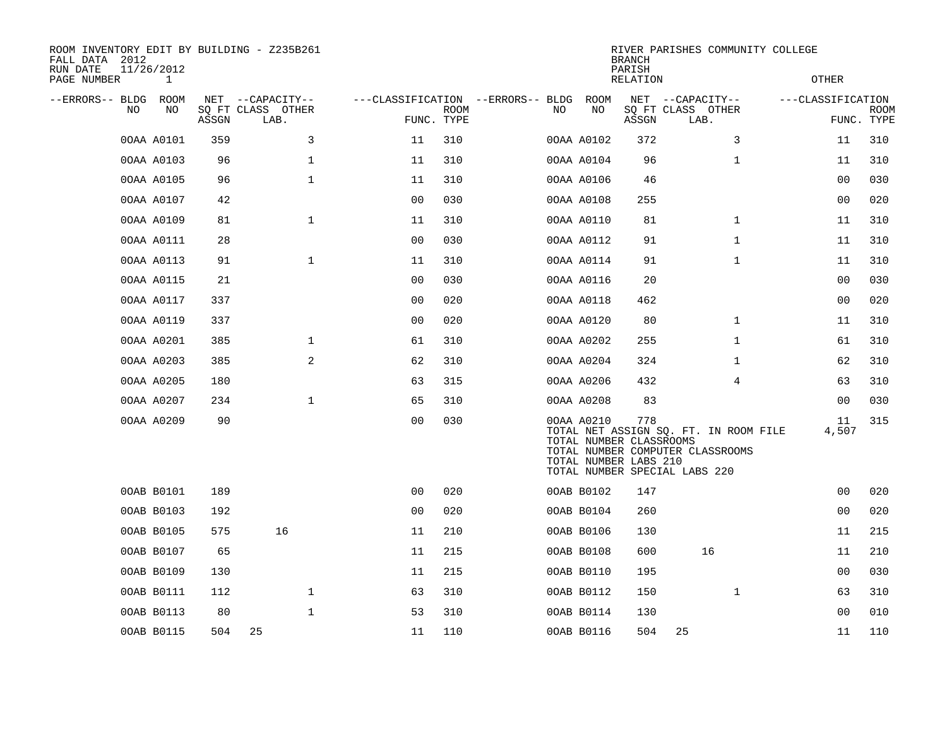| ROOM INVENTORY EDIT BY BUILDING - Z235B261<br>FALL DATA 2012<br>RUN DATE<br>11/26/2012<br>PAGE NUMBER | 1    |       |                           |                |             |                                   |            | <b>BRANCH</b><br>PARISH<br>RELATION                                                                                                                                   |                           |              | RIVER PARISHES COMMUNITY COLLEGE<br>OTHER |                           |
|-------------------------------------------------------------------------------------------------------|------|-------|---------------------------|----------------|-------------|-----------------------------------|------------|-----------------------------------------------------------------------------------------------------------------------------------------------------------------------|---------------------------|--------------|-------------------------------------------|---------------------------|
| --ERRORS-- BLDG                                                                                       | ROOM |       | NET --CAPACITY--          |                |             | ---CLASSIFICATION --ERRORS-- BLDG | ROOM       |                                                                                                                                                                       | NET --CAPACITY--          |              | ---CLASSIFICATION                         |                           |
| NO                                                                                                    | NO   | ASSGN | SQ FT CLASS OTHER<br>LAB. | FUNC. TYPE     | <b>ROOM</b> | NO.                               | NO         | ASSGN                                                                                                                                                                 | SQ FT CLASS OTHER<br>LAB. |              |                                           | <b>ROOM</b><br>FUNC. TYPE |
| 00AA A0101                                                                                            |      | 359   | 3                         | 11             | 310         |                                   | 00AA A0102 | 372                                                                                                                                                                   |                           | 3            | 11                                        | 310                       |
| 00AA A0103                                                                                            |      | 96    | $\mathbf 1$               | 11             | 310         |                                   | 00AA A0104 | 96                                                                                                                                                                    |                           | $\mathbf{1}$ | 11                                        | 310                       |
| 00AA A0105                                                                                            |      | 96    | $\mathbf 1$               | 11             | 310         |                                   | 00AA A0106 | 46                                                                                                                                                                    |                           |              | 0 <sub>0</sub>                            | 030                       |
| 00AA A0107                                                                                            |      | 42    |                           | 0 <sub>0</sub> | 030         |                                   | 00AA A0108 | 255                                                                                                                                                                   |                           |              | 00                                        | 020                       |
| 00AA A0109                                                                                            |      | 81    | $\mathbf 1$               | 11             | 310         |                                   | 00AA A0110 | 81                                                                                                                                                                    |                           | $\mathbf{1}$ | 11                                        | 310                       |
| 00AA A0111                                                                                            |      | 28    |                           | 00             | 030         |                                   | 00AA A0112 | 91                                                                                                                                                                    |                           | $\mathbf{1}$ | 11                                        | 310                       |
| 00AA A0113                                                                                            |      | 91    | $\mathbf{1}$              | 11             | 310         |                                   | 00AA A0114 | 91                                                                                                                                                                    |                           | $\mathbf{1}$ | 11                                        | 310                       |
| 00AA A0115                                                                                            |      | 21    |                           | 0 <sub>0</sub> | 030         |                                   | 00AA A0116 | 20                                                                                                                                                                    |                           |              | 00                                        | 030                       |
| 00AA A0117                                                                                            |      | 337   |                           | 0 <sub>0</sub> | 020         |                                   | 00AA A0118 | 462                                                                                                                                                                   |                           |              | 0 <sub>0</sub>                            | 020                       |
| 00AA A0119                                                                                            |      | 337   |                           | 0 <sub>0</sub> | 020         |                                   | 00AA A0120 | 80                                                                                                                                                                    |                           | $\mathbf{1}$ | 11                                        | 310                       |
| 00AA A0201                                                                                            |      | 385   | $\mathbf 1$               | 61             | 310         |                                   | 00AA A0202 | 255                                                                                                                                                                   |                           | $\mathbf{1}$ | 61                                        | 310                       |
| 00AA A0203                                                                                            |      | 385   | $\overline{a}$            | 62             | 310         |                                   | 00AA A0204 | 324                                                                                                                                                                   |                           | $\mathbf{1}$ | 62                                        | 310                       |
| 00AA A0205                                                                                            |      | 180   |                           | 63             | 315         |                                   | 00AA A0206 | 432                                                                                                                                                                   |                           | 4            | 63                                        | 310                       |
| 00AA A0207                                                                                            |      | 234   | $\mathbf{1}$              | 65             | 310         |                                   | 00AA A0208 | 83                                                                                                                                                                    |                           |              | 00                                        | 030                       |
| 00AA A0209                                                                                            |      | 90    |                           | 0 <sub>0</sub> | 030         |                                   | 00AA A0210 | 778<br>TOTAL NET ASSIGN SQ. FT. IN ROOM FILE<br>TOTAL NUMBER CLASSROOMS<br>TOTAL NUMBER COMPUTER CLASSROOMS<br>TOTAL NUMBER LABS 210<br>TOTAL NUMBER SPECIAL LABS 220 |                           |              | 11<br>4,507                               | 315                       |
| 00AB B0101                                                                                            |      | 189   |                           | 0 <sub>0</sub> | 020         |                                   | 00AB B0102 | 147                                                                                                                                                                   |                           |              | 00                                        | 020                       |
| 00AB B0103                                                                                            |      | 192   |                           | 0 <sub>0</sub> | 020         |                                   | 00AB B0104 | 260                                                                                                                                                                   |                           |              | 0 <sub>0</sub>                            | 020                       |
| 00AB B0105                                                                                            |      | 575   | 16                        | 11             | 210         |                                   | 00AB B0106 | 130                                                                                                                                                                   |                           |              | 11                                        | 215                       |
| 00AB B0107                                                                                            |      | 65    |                           | 11             | 215         |                                   | 00AB B0108 | 600                                                                                                                                                                   |                           | 16           | 11                                        | 210                       |
| 00AB B0109                                                                                            |      | 130   |                           | 11             | 215         |                                   | 00AB B0110 | 195                                                                                                                                                                   |                           |              | 0 <sub>0</sub>                            | 030                       |
| 00AB B0111                                                                                            |      | 112   | $\mathbf 1$               | 63             | 310         |                                   | 00AB B0112 | 150                                                                                                                                                                   |                           | $\mathbf{1}$ | 63                                        | 310                       |
| 00AB B0113                                                                                            |      | 80    | $\mathbf 1$               | 53             | 310         |                                   | 00AB B0114 | 130                                                                                                                                                                   |                           |              | 0 <sub>0</sub>                            | 010                       |
| 00AB B0115                                                                                            |      | 504   | 25                        | 11             | 110         |                                   | 00AB B0116 | 504                                                                                                                                                                   | 25                        |              | 11                                        | 110                       |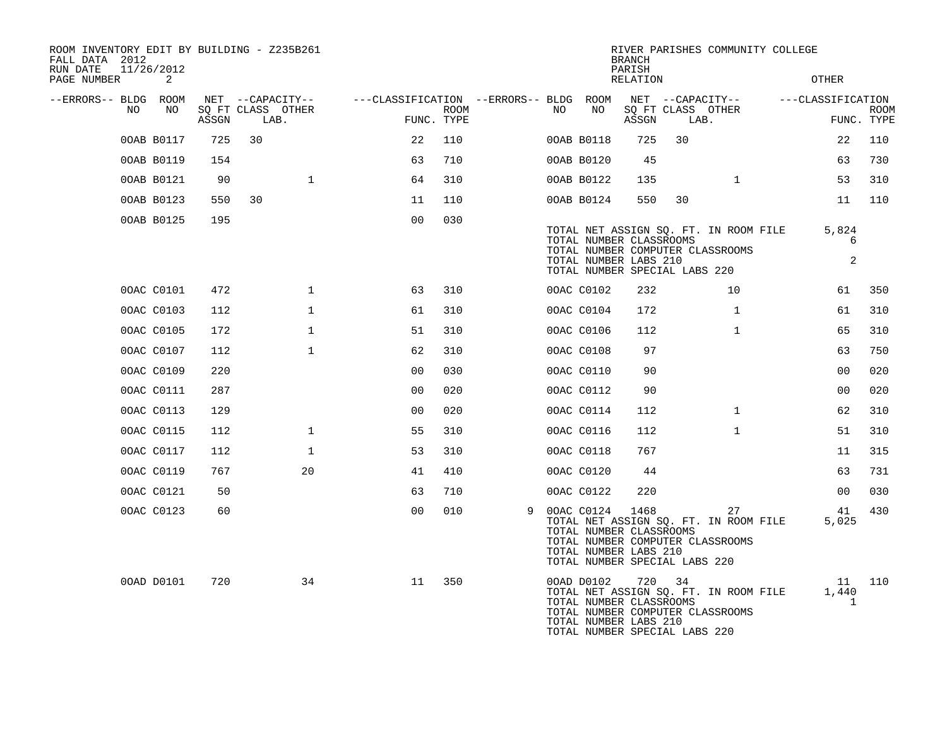| ROOM INVENTORY EDIT BY BUILDING - Z235B261<br>FALL DATA 2012<br>RUN DATE | 11/26/2012 |       |      |                   |                                        |      |   |    |                                                                                                 | <b>BRANCH</b><br>PARISH |        | RIVER PARISHES COMMUNITY COLLEGE                                                |                             |             |
|--------------------------------------------------------------------------|------------|-------|------|-------------------|----------------------------------------|------|---|----|-------------------------------------------------------------------------------------------------|-------------------------|--------|---------------------------------------------------------------------------------|-----------------------------|-------------|
| PAGE NUMBER                                                              | 2          |       |      |                   |                                        |      |   |    |                                                                                                 | RELATION                |        |                                                                                 | OTHER                       |             |
| --ERRORS-- BLDG ROOM<br>NO.                                              | NO         |       |      | NET --CAPACITY--  | ---CLASSIFICATION --ERRORS-- BLDG ROOM |      |   | NO |                                                                                                 |                         |        | NET --CAPACITY--                                                                | ---CLASSIFICATION           |             |
|                                                                          |            | ASSGN | LAB. | SQ FT CLASS OTHER | FUNC. TYPE                             | ROOM |   |    | NO                                                                                              | ASSGN                   | LAB.   | SQ FT CLASS OTHER                                                               | FUNC. TYPE                  | <b>ROOM</b> |
|                                                                          | 00AB B0117 | 725   | 30   |                   | 22                                     | 110  |   |    | 00AB B0118                                                                                      | 725                     | 30     |                                                                                 | 22                          | 110         |
|                                                                          | 00AB B0119 | 154   |      |                   | 63                                     | 710  |   |    | 00AB B0120                                                                                      | 45                      |        |                                                                                 | 63                          | 730         |
|                                                                          | 00AB B0121 | 90    |      | $\mathbf 1$       | 64                                     | 310  |   |    | 00AB B0122                                                                                      | 135                     |        | $\mathbf{1}$                                                                    | 53                          | 310         |
|                                                                          | 00AB B0123 | 550   | 30   |                   | 11                                     | 110  |   |    | 00AB B0124                                                                                      | 550                     | 30     |                                                                                 | 11                          | 110         |
|                                                                          | 00AB B0125 | 195   |      |                   | 0 <sub>0</sub>                         | 030  |   |    | TOTAL NUMBER CLASSROOMS<br>TOTAL NUMBER LABS 210<br>TOTAL NUMBER SPECIAL LABS 220               |                         |        | TOTAL NET ASSIGN SQ. FT. IN ROOM FILE<br>TOTAL NUMBER COMPUTER CLASSROOMS       | 5,824<br>6<br>2             |             |
|                                                                          | 00AC C0101 | 472   |      | $\mathbf{1}$      | 63                                     | 310  |   |    | 00AC C0102                                                                                      | 232                     |        | 10                                                                              | 61                          | 350         |
|                                                                          | 00AC C0103 | 112   |      | $\mathbf{1}$      | 61                                     | 310  |   |    | 00AC C0104                                                                                      | 172                     |        | $\mathbf{1}$                                                                    | 61                          | 310         |
|                                                                          | 00AC C0105 | 172   |      | $\mathbf{1}$      | 51                                     | 310  |   |    | 00AC C0106                                                                                      | 112                     |        | $\mathbf{1}$                                                                    | 65                          | 310         |
|                                                                          | 00AC C0107 | 112   |      | $\mathbf 1$       | 62                                     | 310  |   |    | 00AC C0108                                                                                      | 97                      |        |                                                                                 | 63                          | 750         |
|                                                                          | 00AC C0109 | 220   |      |                   | 0 <sub>0</sub>                         | 030  |   |    | 00AC C0110                                                                                      | 90                      |        |                                                                                 | 0 <sub>0</sub>              | 020         |
|                                                                          | 00AC C0111 | 287   |      |                   | 0 <sub>0</sub>                         | 020  |   |    | 00AC C0112                                                                                      | 90                      |        |                                                                                 | 0 <sub>0</sub>              | 020         |
|                                                                          | 00AC C0113 | 129   |      |                   | 0 <sub>0</sub>                         | 020  |   |    | 00AC C0114                                                                                      | 112                     |        | $\mathbf{1}$                                                                    | 62                          | 310         |
|                                                                          | 00AC C0115 | 112   |      | $\mathbf 1$       | 55                                     | 310  |   |    | 00AC C0116                                                                                      | 112                     |        | $\mathbf{1}$                                                                    | 51                          | 310         |
|                                                                          | 00AC C0117 | 112   |      | $\mathbf{1}$      | 53                                     | 310  |   |    | 00AC C0118                                                                                      | 767                     |        |                                                                                 | 11                          | 315         |
|                                                                          | 00AC C0119 | 767   |      | 20                | 41                                     | 410  |   |    | 00AC C0120                                                                                      | 44                      |        |                                                                                 | 63                          | 731         |
|                                                                          | 00AC C0121 | 50    |      |                   | 63                                     | 710  |   |    | 00AC C0122                                                                                      | 220                     |        |                                                                                 | 00                          | 030         |
|                                                                          | 00AC C0123 | 60    |      |                   | 0 <sub>0</sub>                         | 010  | 9 |    | 00AC C0124<br>TOTAL NUMBER CLASSROOMS<br>TOTAL NUMBER LABS 210<br>TOTAL NUMBER SPECIAL LABS 220 | 1468                    |        | 27<br>TOTAL NET ASSIGN SQ. FT. IN ROOM FILE<br>TOTAL NUMBER COMPUTER CLASSROOMS | 41<br>5,025                 | 430         |
|                                                                          | 00AD D0101 | 720   |      | 34                | 11                                     | 350  |   |    | 00AD D0102<br>TOTAL NUMBER CLASSROOMS<br>TOTAL NUMBER LABS 210<br>TOTAL NUMBER SPECIAL LABS 220 |                         | 720 34 | TOTAL NET ASSIGN SQ. FT. IN ROOM FILE<br>TOTAL NUMBER COMPUTER CLASSROOMS       | 11<br>1,440<br>$\mathbf{1}$ | 110         |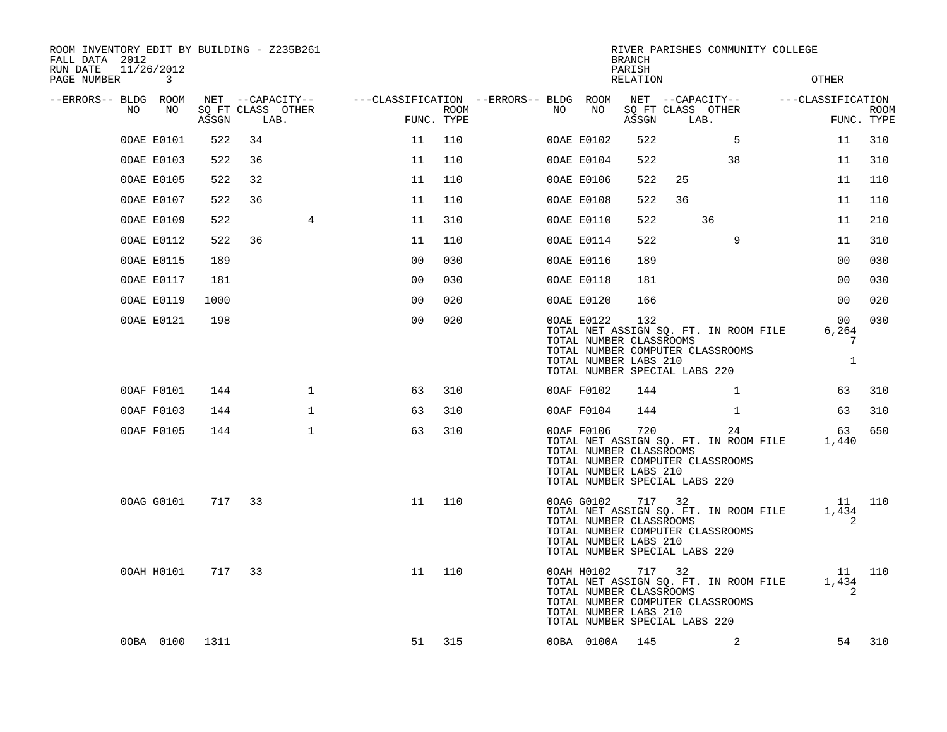| ROOM INVENTORY EDIT BY BUILDING - Z235B261<br>FALL DATA 2012<br>RUN DATE<br>PAGE NUMBER | 11/26/2012<br>$\sim$ 3 |        |      |                   |                                                                         |      |    |                                                                       | <b>BRANCH</b><br>PARISH<br>RELATION |                                         | RIVER PARISHES COMMUNITY COLLEGE                                                | OTHER                 |             |
|-----------------------------------------------------------------------------------------|------------------------|--------|------|-------------------|-------------------------------------------------------------------------|------|----|-----------------------------------------------------------------------|-------------------------------------|-----------------------------------------|---------------------------------------------------------------------------------|-----------------------|-------------|
| --ERRORS-- BLDG ROOM<br>NO                                                              | NO                     | ASSGN  | LAB. | SQ FT CLASS OTHER | NET --CAPACITY-- - ---CLASSIFICATION --ERRORS-- BLDG ROOM<br>FUNC. TYPE | ROOM | NO | NO                                                                    | ASSGN                               | LAB.                                    | NET --CAPACITY-- ---CLASSIFICATION<br>SQ FT CLASS OTHER                         | FUNC. TYPE            | <b>ROOM</b> |
|                                                                                         | 00AE E0101             | 522    | 34   |                   | 11                                                                      | 110  |    | 00AE E0102                                                            | 522                                 |                                         | 5                                                                               | 11                    | 310         |
|                                                                                         | 00AE E0103             | 522    | 36   |                   | 11                                                                      | 110  |    | 00AE E0104                                                            | 522                                 |                                         | 38                                                                              | 11                    | 310         |
|                                                                                         | 00AE E0105             | 522    | 32   |                   | 11                                                                      | 110  |    | 00AE E0106                                                            | 522                                 | 25                                      |                                                                                 | 11                    | 110         |
|                                                                                         | 00AE E0107             | 522    | 36   |                   | 11                                                                      | 110  |    | 00AE E0108                                                            | 522                                 | 36                                      |                                                                                 | 11                    | 110         |
|                                                                                         | 00AE E0109             | 522    |      | 4                 | 11                                                                      | 310  |    | 00AE E0110                                                            | 522                                 |                                         | 36                                                                              | 11                    | 210         |
|                                                                                         | 00AE E0112             | 522    | 36   |                   | 11                                                                      | 110  |    | 00AE E0114                                                            | 522                                 |                                         | 9                                                                               | 11                    | 310         |
|                                                                                         | 00AE E0115             | 189    |      |                   | 0 <sub>0</sub>                                                          | 030  |    | 00AE E0116                                                            | 189                                 |                                         |                                                                                 | 0 <sub>0</sub>        | 030         |
|                                                                                         | 00AE E0117             | 181    |      |                   | 0 <sub>0</sub>                                                          | 030  |    | 00AE E0118                                                            | 181                                 |                                         |                                                                                 | 0 <sub>0</sub>        | 030         |
|                                                                                         | 00AE E0119             | 1000   |      |                   | 0 <sub>0</sub>                                                          | 020  |    | 00AE E0120                                                            | 166                                 |                                         |                                                                                 | 0 <sub>0</sub>        | 020         |
|                                                                                         | 00AE E0121             | 198    |      |                   | 0 <sub>0</sub>                                                          | 020  |    | 00AE E0122<br>TOTAL NUMBER CLASSROOMS<br>TOTAL NUMBER LABS 210        | 132                                 | TOTAL NUMBER SPECIAL LABS 220           | TOTAL NET ASSIGN SQ. FT. IN ROOM FILE<br>TOTAL NUMBER COMPUTER CLASSROOMS       | 00<br>6,264<br>7<br>1 | 030         |
|                                                                                         | 00AF F0101             | 144    |      | $\mathbf{1}$      | 63                                                                      | 310  |    | 00AF F0102                                                            | 144                                 |                                         | $\mathbf{1}$                                                                    | 63                    | 310         |
|                                                                                         | 00AF F0103             | 144    |      | $\mathbf 1$       | 63                                                                      | 310  |    | 00AF F0104                                                            | 144                                 |                                         | $\mathbf{1}$                                                                    | 63                    | 310         |
|                                                                                         | 00AF F0105             | 144    |      | $\mathbf{1}$      | 63                                                                      | 310  |    | 00AF F0106<br>TOTAL NUMBER CLASSROOMS<br>TOTAL NUMBER LABS 210        | 720                                 | TOTAL NUMBER SPECIAL LABS 220           | 24<br>TOTAL NET ASSIGN SQ. FT. IN ROOM FILE<br>TOTAL NUMBER COMPUTER CLASSROOMS | 63<br>1,440           | 650         |
|                                                                                         | 00AG G0101             | 717    | 33   |                   | 11                                                                      | 110  |    | 00AG G0102 717 32<br>TOTAL NUMBER CLASSROOMS<br>TOTAL NUMBER LABS 210 |                                     | TOTAL NUMBER SPECIAL LABS 220           | TOTAL NET ASSIGN SQ. FT. IN ROOM FILE<br>TOTAL NUMBER COMPUTER CLASSROOMS       | 11 110<br>1,434<br>2  |             |
|                                                                                         | 00AH H0101             | 717 33 |      |                   | 11                                                                      | 110  |    | 00AH H0102<br>TOTAL NUMBER CLASSROOMS<br>TOTAL NUMBER LABS 210        |                                     | 717 32<br>TOTAL NUMBER SPECIAL LABS 220 | TOTAL NET ASSIGN SQ. FT. IN ROOM FILE<br>TOTAL NUMBER COMPUTER CLASSROOMS       | 11 110<br>1,434<br>2  |             |
|                                                                                         | 00BA 0100 1311         |        |      |                   | 51                                                                      | 315  |    | 00BA 0100A 145                                                        |                                     |                                         | 2                                                                               | 54                    | 310         |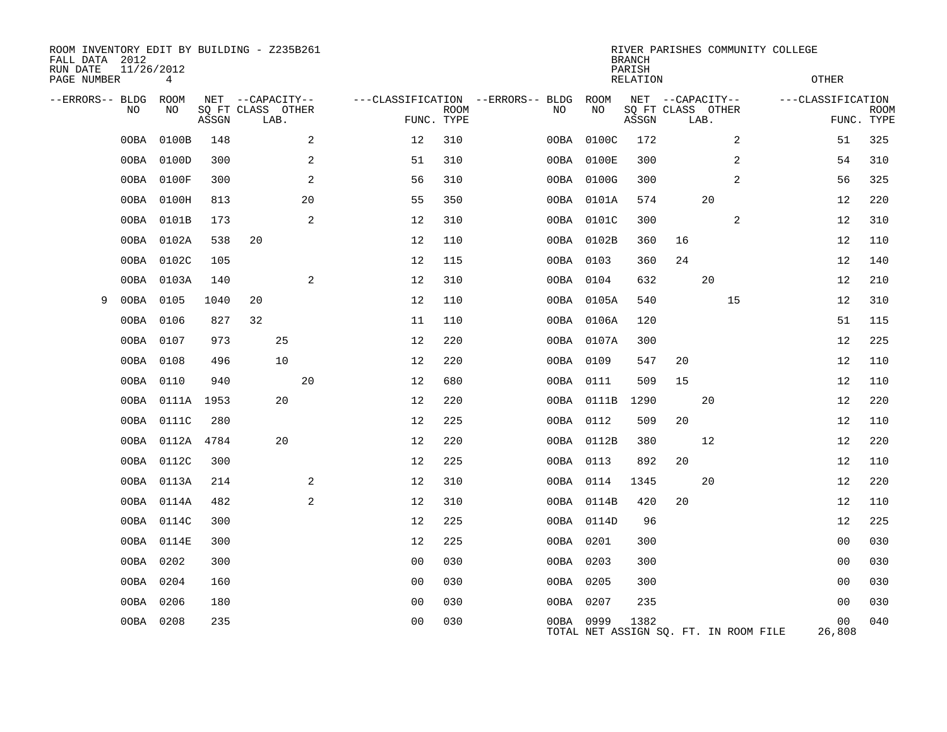| ROOM INVENTORY EDIT BY BUILDING - Z235B261<br>FALL DATA 2012<br>RUN DATE<br>PAGE NUMBER | 11/26/2012 | 4          |       |                   |    |    |                                   |             |           |            | <b>BRANCH</b><br>PARISH<br>RELATION |      |    | RIVER PARISHES COMMUNITY COLLEGE      | <b>OTHER</b>      |             |
|-----------------------------------------------------------------------------------------|------------|------------|-------|-------------------|----|----|-----------------------------------|-------------|-----------|------------|-------------------------------------|------|----|---------------------------------------|-------------------|-------------|
| --ERRORS-- BLDG                                                                         |            | ROOM       |       | NET --CAPACITY--  |    |    | ---CLASSIFICATION --ERRORS-- BLDG |             |           | ROOM       | NET --CAPACITY--                    |      |    |                                       | ---CLASSIFICATION |             |
|                                                                                         | NO         | NO         |       | SQ FT CLASS OTHER |    |    |                                   | <b>ROOM</b> | NO        | NO         | SQ FT CLASS OTHER                   |      |    |                                       |                   | <b>ROOM</b> |
|                                                                                         |            |            | ASSGN | LAB.              |    |    |                                   | FUNC. TYPE  |           |            | ASSGN                               | LAB. |    |                                       |                   | FUNC. TYPE  |
|                                                                                         | 00BA       | 0100B      | 148   |                   |    | 2  | 12                                | 310         | 00BA      | 0100C      | 172                                 |      |    | 2                                     | 51                | 325         |
|                                                                                         | 00BA       | 0100D      | 300   |                   |    | 2  | 51                                | 310         |           | 00BA 0100E | 300                                 |      |    | 2                                     | 54                | 310         |
|                                                                                         | 00BA       | 0100F      | 300   |                   |    | 2  | 56                                | 310         |           | 00BA 0100G | 300                                 |      |    | 2                                     | 56                | 325         |
|                                                                                         | 00BA       | 0100H      | 813   |                   |    | 20 | 55                                | 350         |           | 00BA 0101A | 574                                 |      | 20 |                                       | 12                | 220         |
|                                                                                         | 00BA       | 0101B      | 173   |                   |    | 2  | 12                                | 310         |           | 00BA 0101C | 300                                 |      |    | 2                                     | 12                | 310         |
|                                                                                         | 00BA       | 0102A      | 538   | 20                |    |    | 12                                | 110         |           | 00BA 0102B | 360                                 | 16   |    |                                       | 12                | 110         |
|                                                                                         | 00BA       | 0102C      | 105   |                   |    |    | 12                                | 115         | 00BA 0103 |            | 360                                 | 24   |    |                                       | 12                | 140         |
|                                                                                         | 00BA       | 0103A      | 140   |                   |    | 2  | 12                                | 310         | 00BA 0104 |            | 632                                 |      | 20 |                                       | 12                | 210         |
| 9                                                                                       | 00BA       | 0105       | 1040  | 20                |    |    | 12                                | 110         |           | 00BA 0105A | 540                                 |      |    | 15                                    | 12                | 310         |
|                                                                                         | 00BA       | 0106       | 827   | 32                |    |    | 11                                | 110         |           | 00BA 0106A | 120                                 |      |    |                                       | 51                | 115         |
|                                                                                         | 00BA       | 0107       | 973   |                   | 25 |    | 12                                | 220         |           | 00BA 0107A | 300                                 |      |    |                                       | 12                | 225         |
|                                                                                         | 00BA       | 0108       | 496   |                   | 10 |    | 12                                | 220         | 00BA 0109 |            | 547                                 | 20   |    |                                       | 12                | 110         |
|                                                                                         | 00BA       | 0110       | 940   |                   |    | 20 | 12                                | 680         | 00BA 0111 |            | 509                                 | 15   |    |                                       | 12                | 110         |
|                                                                                         | 00BA       | 0111A 1953 |       |                   | 20 |    | 12                                | 220         |           | 00BA 0111B | 1290                                |      | 20 |                                       | 12                | 220         |
|                                                                                         | 00BA       | 0111C      | 280   |                   |    |    | 12                                | 225         | 00BA 0112 |            | 509                                 | 20   |    |                                       | 12                | 110         |
|                                                                                         | 00BA       | 0112A      | 4784  |                   | 20 |    | 12                                | 220         |           | 00BA 0112B | 380                                 |      | 12 |                                       | 12                | 220         |
|                                                                                         | 00BA       | 0112C      | 300   |                   |    |    | 12                                | 225         | 00BA 0113 |            | 892                                 | 20   |    |                                       | 12                | 110         |
|                                                                                         | 00BA       | 0113A      | 214   |                   |    | 2  | 12                                | 310         | 00BA 0114 |            | 1345                                |      | 20 |                                       | 12                | 220         |
|                                                                                         | 00BA       | 0114A      | 482   |                   |    | 2  | 12                                | 310         |           | 00BA 0114B | 420                                 | 20   |    |                                       | 12                | 110         |
|                                                                                         | 00BA       | 0114C      | 300   |                   |    |    | 12                                | 225         |           | 00BA 0114D | 96                                  |      |    |                                       | 12                | 225         |
|                                                                                         | 00BA       | 0114E      | 300   |                   |    |    | 12                                | 225         | 00BA 0201 |            | 300                                 |      |    |                                       | 0 <sub>0</sub>    | 030         |
|                                                                                         | 00BA       | 0202       | 300   |                   |    |    | 0 <sub>0</sub>                    | 030         | 00BA 0203 |            | 300                                 |      |    |                                       | 0 <sub>0</sub>    | 030         |
|                                                                                         | 00BA       | 0204       | 160   |                   |    |    | 00                                | 030         | 00BA 0205 |            | 300                                 |      |    |                                       | 00                | 030         |
|                                                                                         | 00BA       | 0206       | 180   |                   |    |    | 0 <sub>0</sub>                    | 030         | 00BA 0207 |            | 235                                 |      |    |                                       | 00                | 030         |
|                                                                                         | 00BA 0208  |            | 235   |                   |    |    | 0 <sub>0</sub>                    | 030         | 00BA 0999 |            | 1382                                |      |    | TOTAL NET ASSIGN SO. FT. IN ROOM FILE | 00<br>26,808      | 040         |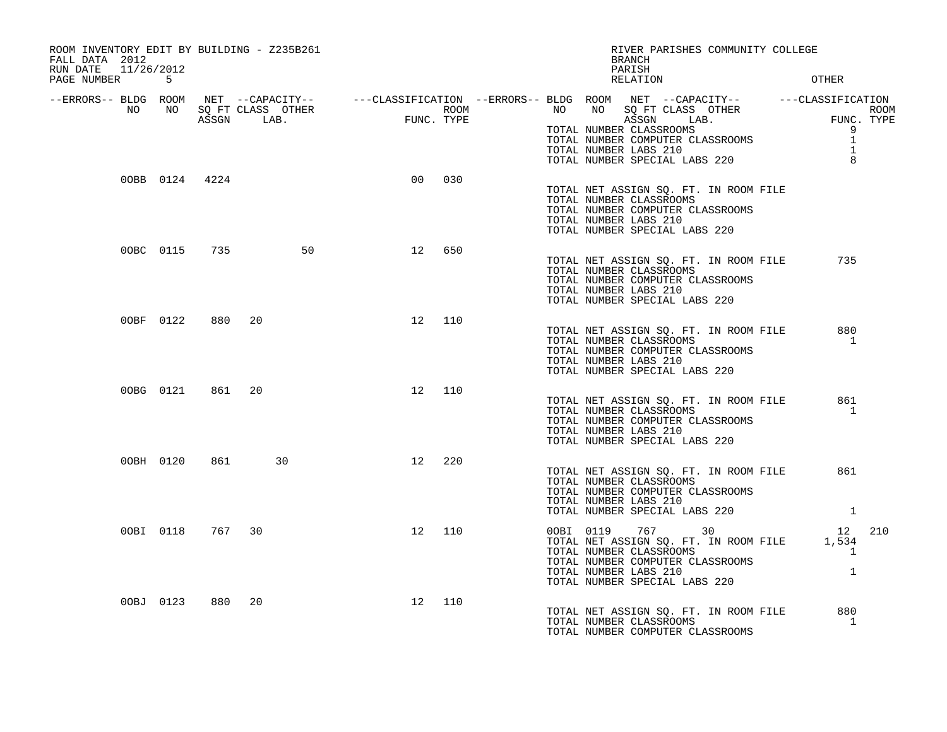| ROOM INVENTORY EDIT BY BUILDING - Z235B261<br>FALL DATA 2012<br>RUN DATE 11/26/2012 |           |                  |                     |    | RIVER PARISHES COMMUNITY COLLEGE<br>BRANCH<br>PARISH |                                                                                                                                                                                                                                                                                                                                        |                                        |  |  |  |  |
|-------------------------------------------------------------------------------------|-----------|------------------|---------------------|----|------------------------------------------------------|----------------------------------------------------------------------------------------------------------------------------------------------------------------------------------------------------------------------------------------------------------------------------------------------------------------------------------------|----------------------------------------|--|--|--|--|
| PAGE NUMBER 5                                                                       |           |                  |                     |    |                                                      | <b>OTHER</b><br>RELATION                                                                                                                                                                                                                                                                                                               |                                        |  |  |  |  |
|                                                                                     |           |                  |                     |    |                                                      | ERRORS-- BLDG ROOM NET --CAPACITY--------CLASSIFICATION--ERRORS-- BLDG ROOM NET --CAPACITY-----------CLASSIFICATION--<br>NO NO SQ FT CLASS OTHER ROOM NO SQ FT CLASS OTHER ROOM NO SQ FT CLASS OTHER<br>ASSGN LAB. FUNC. TYPE TOTAL<br>-<br>TOTAL NUMBER COMPUTER CLASSROOMS<br>TOTAL NUMBER LABS 210<br>TOTAL NUMBER SPECIAL LABS 222 | 9<br>$\mathbf{1}$<br>$\mathbf{1}$<br>8 |  |  |  |  |
|                                                                                     |           | 00BB 0124 4224   |                     | 00 | 030                                                  | TOTAL NET ASSIGN SQ. FT. IN ROOM FILE<br>TOTAL NUMBER CLASSROOMS<br>TOTAL NUMBER COMPUTER CLASSROOMS<br>TOTAL NUMBER LABS 210<br>TOTAL NUMBER SPECIAL LABS 220                                                                                                                                                                         |                                        |  |  |  |  |
|                                                                                     |           |                  | 00BC 0115 735<br>50 | 12 | 650                                                  | TOTAL NET ASSIGN SQ. FT. IN ROOM FILE<br>TOTAL NUMBER CLASSROOMS<br>TOTAL NUMBER COMPUTER CLASSROOMS<br>TOTAL NUMBER LABS 210<br>TOTAL NUMBER SPECIAL LABS 220                                                                                                                                                                         | 735                                    |  |  |  |  |
|                                                                                     | 00BF 0122 | 880              | 20                  |    | 12 110                                               | TOTAL NET ASSIGN SO. FT. IN ROOM FILE<br>TOTAL NUMBER CLASSROOMS<br>TOTAL NUMBER COMPUTER CLASSROOMS<br>TOTAL NUMBER LABS 210<br>TOTAL NUMBER SPECIAL LABS 220                                                                                                                                                                         | 880<br>$\mathbf{1}$                    |  |  |  |  |
|                                                                                     |           | 00BG 0121 861 20 |                     | 12 | 110                                                  | TOTAL NET ASSIGN SQ. FT. IN ROOM FILE<br>TOTAL NUMBER CLASSROOMS<br>TOTAL NUMBER COMPUTER CLASSROOMS<br>TOTAL NUMBER LABS 210<br>TOTAL NUMBER SPECIAL LABS 220                                                                                                                                                                         | 861<br>$\overline{1}$                  |  |  |  |  |
|                                                                                     | 00BH 0120 |                  | 30<br>861 — 10      | 12 | 220                                                  | TOTAL NET ASSIGN SQ. FT. IN ROOM FILE<br>TOTAL NUMBER CLASSROOMS<br>TOTAL NUMBER COMPUTER CLASSROOMS<br>TOTAL NUMBER LABS 210<br>TOTAL NUMBER SPECIAL LABS 220 1                                                                                                                                                                       | 861                                    |  |  |  |  |
|                                                                                     |           |                  | 00BI 0118 767 30    |    | 12 110                                               | 00BI 0119 767 30 12<br>TOTAL NET ASSIGN SQ. FT. IN ROOM FILE 1,534<br>TOTAL NUMBER CLASSROOMS<br>$\sim$ 1<br>TOTAL NUMBER COMPUTER CLASSROOMS<br>IOTAL NUMBER COMPUTER CLASSROOMS<br>TOTAL NUMBER LABS 210<br>TOTAL NUMBER SPECIAL LABS 220                                                                                            | 210<br>$\overline{1}$                  |  |  |  |  |
|                                                                                     | 00BJ 0123 | 880              | 20                  | 12 | 110                                                  | TOTAL NET ASSIGN SQ. FT. IN ROOM FILE<br>TOTAL NUMBER CLASSROOMS<br>TOTAL NUMBER COMPUTER CLASSROOMS                                                                                                                                                                                                                                   | 880<br>1                               |  |  |  |  |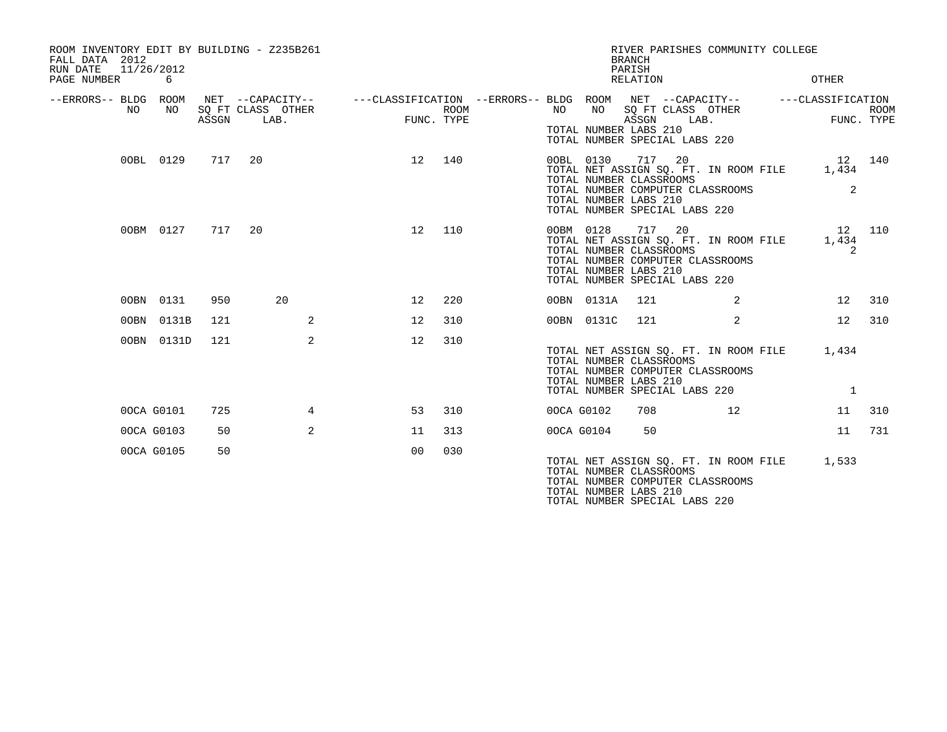| ROOM INVENTORY EDIT BY BUILDING - Z235B261<br>FALL DATA 2012<br>11/26/2012<br>RUN DATE<br>PAGE NUMBER | 6          |       |                                                                                                                             |                |             |            |            | RIVER PARISHES COMMUNITY COLLEGE<br><b>BRANCH</b><br>PARISH<br>RELATION                                                                                                                  |                | OTHER                 |             |
|-------------------------------------------------------------------------------------------------------|------------|-------|-----------------------------------------------------------------------------------------------------------------------------|----------------|-------------|------------|------------|------------------------------------------------------------------------------------------------------------------------------------------------------------------------------------------|----------------|-----------------------|-------------|
| --ERRORS-- BLDG ROOM<br>NO.                                                                           | NO         | ASSGN | NET --CAPACITY-- - ---CLASSIFICATION --ERRORS-- BLDG ROOM NET --CAPACITY-- - ---CLASSIFICATION<br>SQ FT CLASS OTHER<br>LAB. | FUNC. TYPE     | <b>ROOM</b> | NO         | NO         | SQ FT CLASS OTHER<br>ASSGN LAB.<br>TOTAL NUMBER LABS 210<br>TOTAL NUMBER SPECIAL LABS 220                                                                                                |                | FUNC. TYPE            | <b>ROOM</b> |
|                                                                                                       | 00BL 0129  |       | 717 20                                                                                                                      | 12 140         |             |            |            | 00BL 0130 717 20<br>TOTAL NET ASSIGN SQ. FT. IN ROOM FILE 1,434<br>TOTAL NUMBER CLASSROOMS<br>TOTAL NUMBER COMPUTER CLASSROOMS<br>TOTAL NUMBER LABS 210<br>TOTAL NUMBER SPECIAL LABS 220 |                | 12 140<br>2           |             |
|                                                                                                       | 00BM 0127  | 717   | 20                                                                                                                          | 12             | 110         |            |            | 00BM 0128 717 20<br>TOTAL NET ASSIGN SQ. FT. IN ROOM FILE<br>TOTAL NUMBER CLASSROOMS<br>TOTAL NUMBER COMPUTER CLASSROOMS<br>TOTAL NUMBER LABS 210<br>TOTAL NUMBER SPECIAL LABS 220       |                | 12<br>1,434<br>2      | 110         |
|                                                                                                       | 00BN 0131  | 950   | 20                                                                                                                          | 12             | 220         |            | 00BN 0131A | 121                                                                                                                                                                                      | 2              | 12                    | 310         |
|                                                                                                       | 00BN 0131B | 121   | 2                                                                                                                           | 12             | 310         |            | 00BN 0131C | 121                                                                                                                                                                                      | $\overline{2}$ | 12                    | 310         |
|                                                                                                       | 00BN 0131D | 121   | 2                                                                                                                           | 12             | 310         |            |            | TOTAL NET ASSIGN SQ. FT. IN ROOM FILE<br>TOTAL NUMBER CLASSROOMS<br>TOTAL NUMBER COMPUTER CLASSROOMS<br>TOTAL NUMBER LABS 210<br>TOTAL NUMBER SPECIAL LABS 220                           |                | 1,434<br><sup>1</sup> |             |
|                                                                                                       | 00CA G0101 | 725   | 4                                                                                                                           | 53             | 310         | 00CA G0102 |            | 708                                                                                                                                                                                      | 12             | 11                    | 310         |
|                                                                                                       | 00CA G0103 | 50    | $\overline{2}$                                                                                                              | 11             | 313         | 00CA G0104 |            | 50                                                                                                                                                                                       |                | 11                    | 731         |
|                                                                                                       | 00CA G0105 | 50    |                                                                                                                             | 0 <sup>0</sup> | 030         |            |            | TOTAL NET ASSIGN SQ. FT. IN ROOM FILE<br>TOTAL NUMBER CLASSROOMS<br>TOTAL NUMBER COMPUTER CLASSROOMS<br>TOTAL NUMBER LABS 210<br>TOTAL NUMBER SPECIAL LABS 220                           |                | 1,533                 |             |